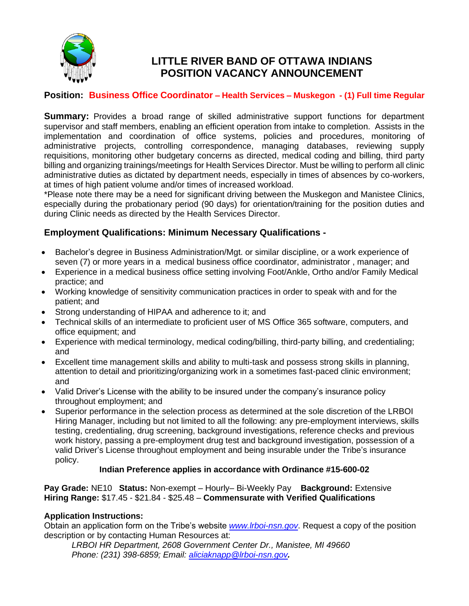

# **LITTLE RIVER BAND OF OTTAWA INDIANS POSITION VACANCY ANNOUNCEMENT**

# **Position: Business Office Coordinator – Health Services – Muskegon - (1) Full time Regular**

**Summary:** Provides a broad range of skilled administrative support functions for department supervisor and staff members, enabling an efficient operation from intake to completion. Assists in the implementation and coordination of office systems, policies and procedures, monitoring of administrative projects, controlling correspondence, managing databases, reviewing supply requisitions, monitoring other budgetary concerns as directed, medical coding and billing, third party billing and organizing trainings/meetings for Health Services Director. Must be willing to perform all clinic administrative duties as dictated by department needs, especially in times of absences by co-workers, at times of high patient volume and/or times of increased workload.

\*Please note there may be a need for significant driving between the Muskegon and Manistee Clinics, especially during the probationary period (90 days) for orientation/training for the position duties and during Clinic needs as directed by the Health Services Director.

## **Employment Qualifications: Minimum Necessary Qualifications -**

- Bachelor's degree in Business Administration/Mgt. or similar discipline, or a work experience of seven (7) or more years in a medical business office coordinator, administrator , manager; and
- Experience in a medical business office setting involving Foot/Ankle, Ortho and/or Family Medical practice; and
- Working knowledge of sensitivity communication practices in order to speak with and for the patient; and
- Strong understanding of HIPAA and adherence to it; and
- Technical skills of an intermediate to proficient user of MS Office 365 software, computers, and office equipment; and
- Experience with medical terminology, medical coding/billing, third-party billing, and credentialing; and
- Excellent time management skills and ability to multi-task and possess strong skills in planning, attention to detail and prioritizing/organizing work in a sometimes fast-paced clinic environment; and
- Valid Driver's License with the ability to be insured under the company's insurance policy throughout employment; and
- Superior performance in the selection process as determined at the sole discretion of the LRBOI Hiring Manager, including but not limited to all the following: any pre-employment interviews, skills testing, credentialing, drug screening, background investigations, reference checks and previous work history, passing a pre-employment drug test and background investigation, possession of a valid Driver's License throughout employment and being insurable under the Tribe's insurance policy.

### **Indian Preference applies in accordance with Ordinance #15-600-02**

**Pay Grade:** NE10 **Status:** Non-exempt – Hourly– Bi-Weekly Pay **Background:** Extensive **Hiring Range:** \$17.45 - \$21.84 - \$25.48 – **Commensurate with Verified Qualifications**

### **Application Instructions:**

Obtain an application form on the Tribe's website *[www.lrboi-nsn.gov](http://www.lrboi-nsn.gov/)*. Request a copy of the position description or by contacting Human Resources at:

*LRBOI HR Department, 2608 Government Center Dr., Manistee, MI 49660 Phone: (231) 398-6859; Email: [aliciaknapp@lrboi-nsn.gov](mailto:aliciaknapp@lrboi-nsn.gov).*